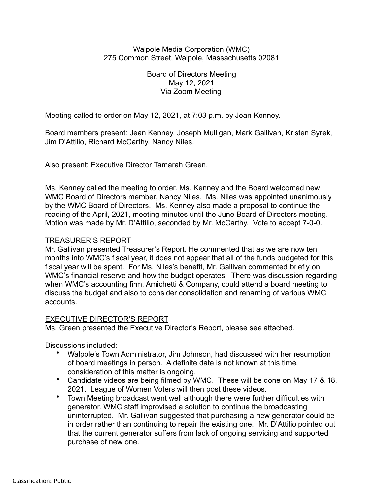### Walpole Media Corporation (WMC) 275 Common Street, Walpole, Massachusetts 02081

# Board of Directors Meeting May 12, 2021 Via Zoom Meeting

Meeting called to order on May 12, 2021, at 7:03 p.m. by Jean Kenney.

Board members present: Jean Kenney, Joseph Mulligan, Mark Gallivan, Kristen Syrek, Jim D'Attilio, Richard McCarthy, Nancy Niles.

Also present: Executive Director Tamarah Green.

Ms. Kenney called the meeting to order. Ms. Kenney and the Board welcomed new WMC Board of Directors member, Nancy Niles. Ms. Niles was appointed unanimously by the WMC Board of Directors. Ms. Kenney also made a proposal to continue the reading of the April, 2021, meeting minutes until the June Board of Directors meeting. Motion was made by Mr. D'Attilio, seconded by Mr. McCarthy. Vote to accept 7-0-0.

# TREASURER'S REPORT

Mr. Gallivan presented Treasurer's Report. He commented that as we are now ten months into WMC's fiscal year, it does not appear that all of the funds budgeted for this fiscal year will be spent. For Ms. Niles's benefit, Mr. Gallivan commented briefly on WMC's financial reserve and how the budget operates. There was discussion regarding when WMC's accounting firm, Amichetti & Company, could attend a board meeting to discuss the budget and also to consider consolidation and renaming of various WMC accounts.

# EXECUTIVE DIRECTOR'S REPORT

Ms. Green presented the Executive Director's Report, please see attached.

Discussions included:

- Walpole's Town Administrator, Jim Johnson, had discussed with her resumption of board meetings in person. A definite date is not known at this time, consideration of this matter is ongoing.
- Candidate videos are being filmed by WMC. These will be done on May 17 & 18, 2021. League of Women Voters will then post these videos.
- Town Meeting broadcast went well although there were further difficulties with generator. WMC staff improvised a solution to continue the broadcasting uninterrupted. Mr. Gallivan suggested that purchasing a new generator could be in order rather than continuing to repair the existing one. Mr. D'Attilio pointed out that the current generator suffers from lack of ongoing servicing and supported purchase of new one.